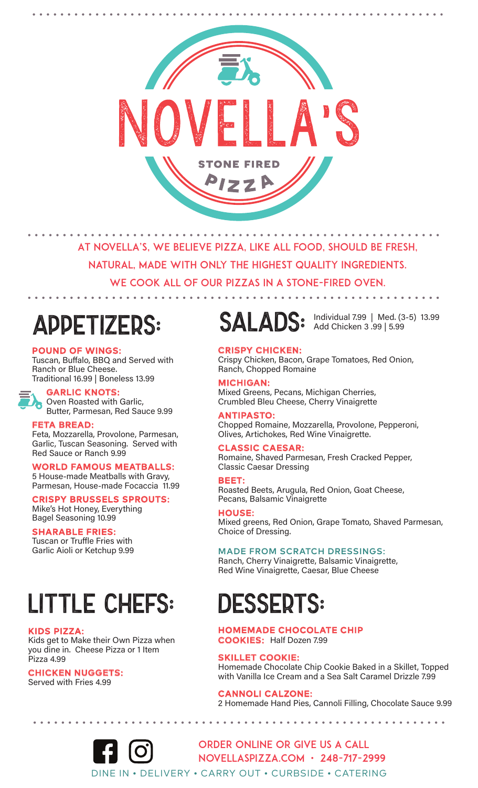

At Novella, s, we believe pizza, like all food, should be fresh, natural, made with only the highest quality ingredients. We cook all of our pizzas in a Stone-Fired Oven.

# APPETIZERS:

#### POUND OF WINGS:

Tuscan, Buffalo, BBQ and Served with Ranch or Blue Cheese. Traditional 16.99 | Boneless 13.99

### GARLIC KNOTS:

Oven Roasted with Garlic, Butter, Parmesan, Red Sauce 9.99

#### FETA BREAD:

Feta, Mozzarella, Provolone, Parmesan, Garlic, Tuscan Seasoning. Served with Red Sauce or Ranch 9.99

#### WORLD FAMOUS MEATBALLS:

5 House-made Meatballs with Gravy, Parmesan, House-made Focaccia 11.99

#### CRISPY BRUSSELS SPROUTS:

Mike's Hot Honey, Everything Bagel Seasoning 10.99

#### SHARABLE FRIES:

Tuscan or Truffle Fries with Garlic Aioli or Ketchup 9.99

# LITTLE CHEFS: DESSERTS:

#### KIDS PIZZA:

Kids get to Make their Own Pizza when you dine in. Cheese Pizza or 1 Item Pizza 4.99

#### CHICKEN NUGGETS: Served with Fries 4.99

## **SALADS:** Individual 7.99 | Med. (3-5) 13.99

#### CRISPY CHICKEN:

Crispy Chicken, Bacon, Grape Tomatoes, Red Onion, Ranch, Chopped Romaine

Add Chicken 3 .99 | 5.99

MICHIGAN: Mixed Greens, Pecans, Michigan Cherries, Crumbled Bleu Cheese, Cherry Vinaigrette

#### ANTIPASTO:

Chopped Romaine, Mozzarella, Provolone, Pepperoni, Olives, Artichokes, Red Wine Vinaigrette.

#### CLASSIC CAESAR:

Romaine, Shaved Parmesan, Fresh Cracked Pepper, Classic Caesar Dressing

#### BEET:

Roasted Beets, Arugula, Red Onion, Goat Cheese, Pecans, Balsamic Vinaigrette

#### HOUSE:

Mixed greens, Red Onion, Grape Tomato, Shaved Parmesan, Choice of Dressing.

#### MADE FROM SCRATCH DRESSINGS:

Ranch, Cherry Vinaigrette, Balsamic Vinaigrette, Red Wine Vinaigrette, Caesar, Blue Cheese

#### HOMEMADE CHOCOLATE CHIP COOKIES: Half Dozen 7.99

#### SKILLET COOKIE:

Homemade Chocolate Chip Cookie Baked in a Skillet, Topped with Vanilla Ice Cream and a Sea Salt Caramel Drizzle 7.99

### CANNOLI CALZONE:

2 Homemade Hand Pies, Cannoli Filling, Chocolate Sauce 9.99

. . . . . . . . . . . . . . . . .

DINE IN • DELIVERY • CARRY OUT • CURBSIDE • CATERING Order Online or give us a call Novellaspizza.com • 248-717-2999